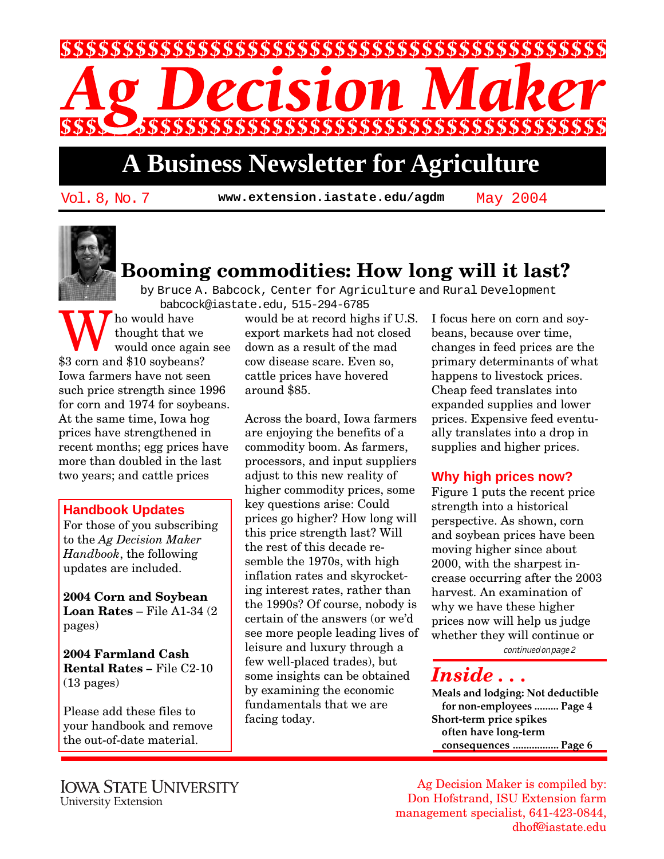

## **A Business Newsletter for Agriculture**

Vol. 8, No. 7 **www.extension.iastate.edu/agdm** May 2004



### **Booming commodities: How long will it last?**

by Bruce A. Babcock, Center for Agriculture and Rural Development babcock@iastate.edu, 515-294-6785

Who would have<br>thought that we<br>\$3 corn and \$10 soybeans? thought that we would once again see Iowa farmers have not seen such price strength since 1996 for corn and 1974 for soybeans. At the same time, Iowa hog prices have strengthened in recent months; egg prices have more than doubled in the last two years; and cattle prices

### **Handbook Updates**

For those of you subscribing to the *Ag Decision Maker Handbook*, the following updates are included.

**2004 Corn and Soybean Loan Rates** – File A1-34 (2 pages)

**2004 Farmland Cash Rental Rates –** File C2-10 (13 pages)

Please add these files to your handbook and remove the out-of-date material.

would be at record highs if U.S. export markets had not closed down as a result of the mad cow disease scare. Even so, cattle prices have hovered around \$85.

Across the board, Iowa farmers are enjoying the benefits of a commodity boom. As farmers, processors, and input suppliers adjust to this new reality of higher commodity prices, some key questions arise: Could prices go higher? How long will this price strength last? Will the rest of this decade resemble the 1970s, with high inflation rates and skyrocketing interest rates, rather than the 1990s? Of course, nobody is certain of the answers (or we'd see more people leading lives of leisure and luxury through a few well-placed trades), but some insights can be obtained by examining the economic fundamentals that we are facing today.

I focus here on corn and soybeans, because over time, changes in feed prices are the primary determinants of what happens to livestock prices. Cheap feed translates into expanded supplies and lower prices. Expensive feed eventually translates into a drop in supplies and higher prices.

### **Why high prices now?**

Figure 1 puts the recent price strength into a historical perspective. As shown, corn and soybean prices have been moving higher since about 2000, with the sharpest increase occurring after the 2003 harvest. An examination of why we have these higher prices now will help us judge whether they will continue or

continued on page 2

### *Inside . . .*

**Meals and lodging: Not deductible for non-employees ......... Page 4 Short-term price spikes often have long-term consequences ................. Page 6**

Ag Decision Maker is compiled by: Don Hofstrand, ISU Extension farm management specialist, 641-423-0844, dhof@iastate.edu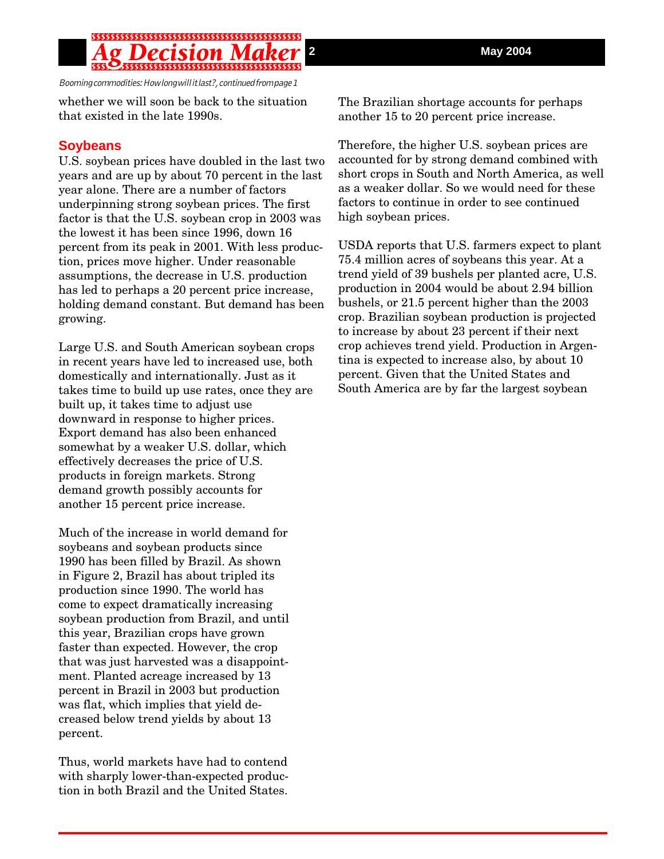Booming commodities: How long will it last?, continued from page 1

whether we will soon be back to the situation that existed in the late 1990s.

### **Soybeans**

U.S. soybean prices have doubled in the last two years and are up by about 70 percent in the last year alone. There are a number of factors underpinning strong soybean prices. The first factor is that the U.S. soybean crop in 2003 was the lowest it has been since 1996, down 16 percent from its peak in 2001. With less production, prices move higher. Under reasonable assumptions, the decrease in U.S. production has led to perhaps a 20 percent price increase, holding demand constant. But demand has been growing.

Large U.S. and South American soybean crops in recent years have led to increased use, both domestically and internationally. Just as it takes time to build up use rates, once they are built up, it takes time to adjust use downward in response to higher prices. Export demand has also been enhanced somewhat by a weaker U.S. dollar, which effectively decreases the price of U.S. products in foreign markets. Strong demand growth possibly accounts for another 15 percent price increase.

Much of the increase in world demand for soybeans and soybean products since 1990 has been filled by Brazil. As shown in Figure 2, Brazil has about tripled its production since 1990. The world has come to expect dramatically increasing soybean production from Brazil, and until this year, Brazilian crops have grown faster than expected. However, the crop that was just harvested was a disappointment. Planted acreage increased by 13 percent in Brazil in 2003 but production was flat, which implies that yield decreased below trend yields by about 13 percent.

Thus, world markets have had to contend with sharply lower-than-expected production in both Brazil and the United States. The Brazilian shortage accounts for perhaps another 15 to 20 percent price increase.

Therefore, the higher U.S. soybean prices are accounted for by strong demand combined with short crops in South and North America, as well as a weaker dollar. So we would need for these factors to continue in order to see continued high soybean prices.

USDA reports that U.S. farmers expect to plant 75.4 million acres of soybeans this year. At a trend yield of 39 bushels per planted acre, U.S. production in 2004 would be about 2.94 billion bushels, or 21.5 percent higher than the 2003 crop. Brazilian soybean production is projected to increase by about 23 percent if their next crop achieves trend yield. Production in Argentina is expected to increase also, by about 10 percent. Given that the United States and South America are by far the largest soybean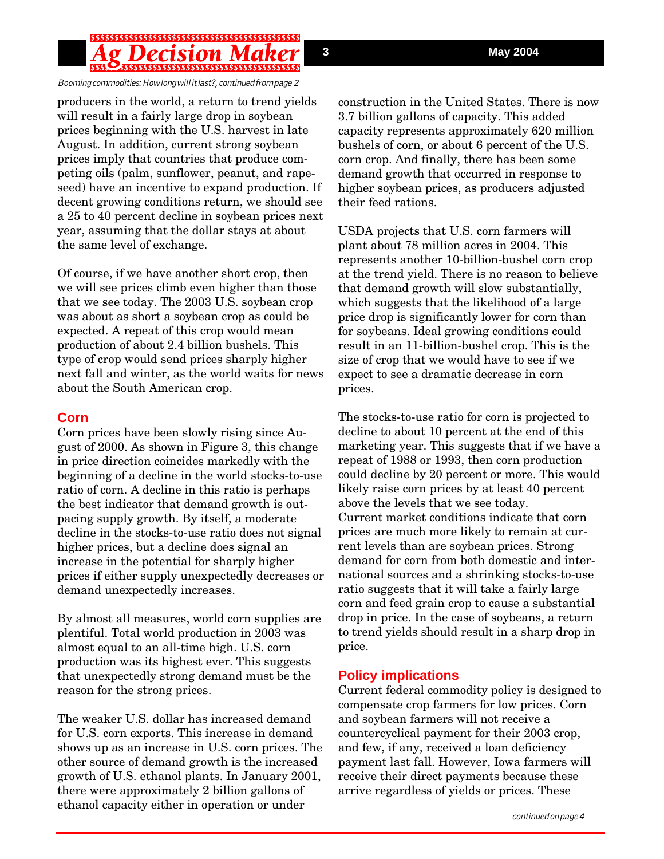### \$\$\$\$\$\$\$\$\$\$\$\$\$\$\$\$\$\$\$\$\$\$\$\$\$\$\$\$\$\$\$\$\$\$\$\$\$

Booming commodities: How long will it last?, continued from page 2

producers in the world, a return to trend yields will result in a fairly large drop in soybean prices beginning with the U.S. harvest in late August. In addition, current strong soybean prices imply that countries that produce competing oils (palm, sunflower, peanut, and rapeseed) have an incentive to expand production. If decent growing conditions return, we should see a 25 to 40 percent decline in soybean prices next year, assuming that the dollar stays at about the same level of exchange.

Of course, if we have another short crop, then we will see prices climb even higher than those that we see today. The 2003 U.S. soybean crop was about as short a soybean crop as could be expected. A repeat of this crop would mean production of about 2.4 billion bushels. This type of crop would send prices sharply higher next fall and winter, as the world waits for news about the South American crop.

#### **Corn**

Corn prices have been slowly rising since August of 2000. As shown in Figure 3, this change in price direction coincides markedly with the beginning of a decline in the world stocks-to-use ratio of corn. A decline in this ratio is perhaps the best indicator that demand growth is outpacing supply growth. By itself, a moderate decline in the stocks-to-use ratio does not signal higher prices, but a decline does signal an increase in the potential for sharply higher prices if either supply unexpectedly decreases or demand unexpectedly increases.

By almost all measures, world corn supplies are plentiful. Total world production in 2003 was almost equal to an all-time high. U.S. corn production was its highest ever. This suggests that unexpectedly strong demand must be the reason for the strong prices.

The weaker U.S. dollar has increased demand for U.S. corn exports. This increase in demand shows up as an increase in U.S. corn prices. The other source of demand growth is the increased growth of U.S. ethanol plants. In January 2001, there were approximately 2 billion gallons of ethanol capacity either in operation or under

construction in the United States. There is now 3.7 billion gallons of capacity. This added capacity represents approximately 620 million bushels of corn, or about 6 percent of the U.S. corn crop. And finally, there has been some demand growth that occurred in response to higher soybean prices, as producers adjusted their feed rations.

USDA projects that U.S. corn farmers will plant about 78 million acres in 2004. This represents another 10-billion-bushel corn crop at the trend yield. There is no reason to believe that demand growth will slow substantially, which suggests that the likelihood of a large price drop is significantly lower for corn than for soybeans. Ideal growing conditions could result in an 11-billion-bushel crop. This is the size of crop that we would have to see if we expect to see a dramatic decrease in corn prices.

The stocks-to-use ratio for corn is projected to decline to about 10 percent at the end of this marketing year. This suggests that if we have a repeat of 1988 or 1993, then corn production could decline by 20 percent or more. This would likely raise corn prices by at least 40 percent above the levels that we see today. Current market conditions indicate that corn prices are much more likely to remain at current levels than are soybean prices. Strong demand for corn from both domestic and international sources and a shrinking stocks-to-use ratio suggests that it will take a fairly large corn and feed grain crop to cause a substantial drop in price. In the case of soybeans, a return to trend yields should result in a sharp drop in price.

### **Policy implications**

Current federal commodity policy is designed to compensate crop farmers for low prices. Corn and soybean farmers will not receive a countercyclical payment for their 2003 crop, and few, if any, received a loan deficiency payment last fall. However, Iowa farmers will receive their direct payments because these arrive regardless of yields or prices. These